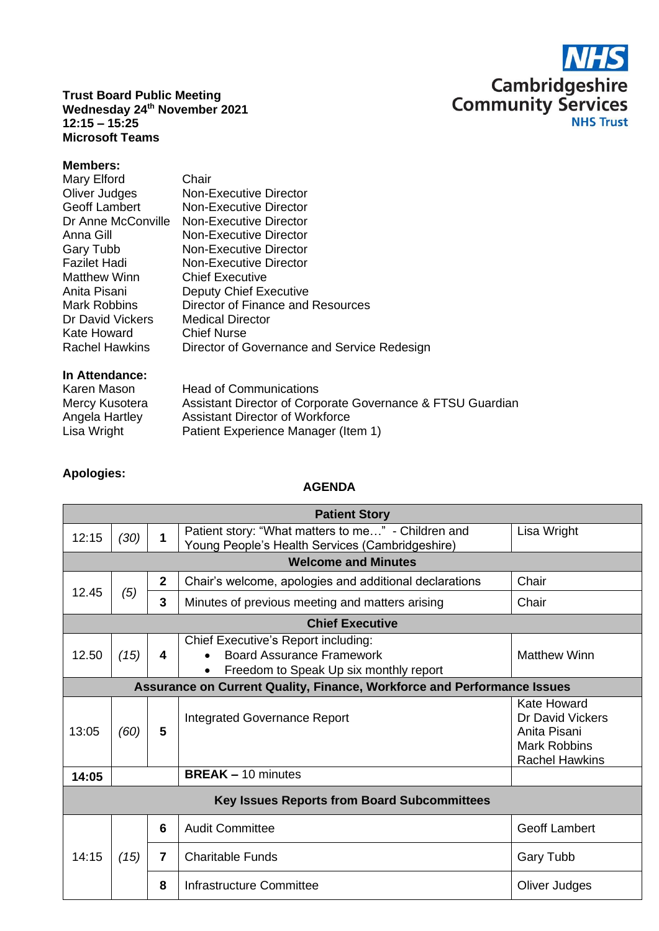

**Trust Board Public Meeting Wednesday 24th November 2021 12:15 – 15:25 Microsoft Teams**

## **Members:**

| Mary Elford<br>Oliver Judges<br>Geoff Lambert<br>Dr Anne McConville<br>Anna Gill<br>Gary Tubb<br><b>Fazilet Hadi</b><br><b>Matthew Winn</b><br>Anita Pisani<br><b>Mark Robbins</b><br>Dr David Vickers<br>Kate Howard | Chair<br>Non-Executive Director<br>Non-Executive Director<br>Non-Executive Director<br>Non-Executive Director<br>Non-Executive Director<br><b>Non-Executive Director</b><br><b>Chief Executive</b><br><b>Deputy Chief Executive</b><br>Director of Finance and Resources<br><b>Medical Director</b><br><b>Chief Nurse</b> |
|-----------------------------------------------------------------------------------------------------------------------------------------------------------------------------------------------------------------------|---------------------------------------------------------------------------------------------------------------------------------------------------------------------------------------------------------------------------------------------------------------------------------------------------------------------------|
| <b>Rachel Hawkins</b>                                                                                                                                                                                                 | Director of Governance and Service Redesign                                                                                                                                                                                                                                                                               |
|                                                                                                                                                                                                                       |                                                                                                                                                                                                                                                                                                                           |

## **In Attendance:**

| Karen Mason    | <b>Head of Communications</b>                              |
|----------------|------------------------------------------------------------|
| Mercy Kusotera | Assistant Director of Corporate Governance & FTSU Guardian |
| Angela Hartley | Assistant Director of Workforce                            |
| Lisa Wright    | Patient Experience Manager (Item 1)                        |

## **Apologies:**

## **AGENDA**

| <b>Patient Story</b>                                                           |                            |                |                                                                                                                   |                                                                                                        |  |  |  |
|--------------------------------------------------------------------------------|----------------------------|----------------|-------------------------------------------------------------------------------------------------------------------|--------------------------------------------------------------------------------------------------------|--|--|--|
| 12:15                                                                          | (30)                       | 1              | Patient story: "What matters to me" - Children and<br>Young People's Health Services (Cambridgeshire)             | Lisa Wright                                                                                            |  |  |  |
|                                                                                | <b>Welcome and Minutes</b> |                |                                                                                                                   |                                                                                                        |  |  |  |
| 12.45                                                                          |                            | $\overline{2}$ | Chair's welcome, apologies and additional declarations                                                            | Chair                                                                                                  |  |  |  |
|                                                                                | (5)                        | 3              | Minutes of previous meeting and matters arising                                                                   | Chair                                                                                                  |  |  |  |
| <b>Chief Executive</b>                                                         |                            |                |                                                                                                                   |                                                                                                        |  |  |  |
| 12.50                                                                          | (15)                       | 4              | Chief Executive's Report including:<br><b>Board Assurance Framework</b><br>Freedom to Speak Up six monthly report | <b>Matthew Winn</b>                                                                                    |  |  |  |
| <b>Assurance on Current Quality, Finance, Workforce and Performance Issues</b> |                            |                |                                                                                                                   |                                                                                                        |  |  |  |
| 13:05                                                                          | (60)                       | 5              | Integrated Governance Report                                                                                      | <b>Kate Howard</b><br>Dr David Vickers<br>Anita Pisani<br><b>Mark Robbins</b><br><b>Rachel Hawkins</b> |  |  |  |
| 14:05                                                                          | <b>BREAK - 10 minutes</b>  |                |                                                                                                                   |                                                                                                        |  |  |  |
| <b>Key Issues Reports from Board Subcommittees</b>                             |                            |                |                                                                                                                   |                                                                                                        |  |  |  |
| 14:15                                                                          | (15)                       | 6              | <b>Audit Committee</b>                                                                                            | <b>Geoff Lambert</b>                                                                                   |  |  |  |
|                                                                                |                            | 7              | <b>Charitable Funds</b>                                                                                           | <b>Gary Tubb</b>                                                                                       |  |  |  |
|                                                                                |                            | 8              | Infrastructure Committee                                                                                          | Oliver Judges                                                                                          |  |  |  |